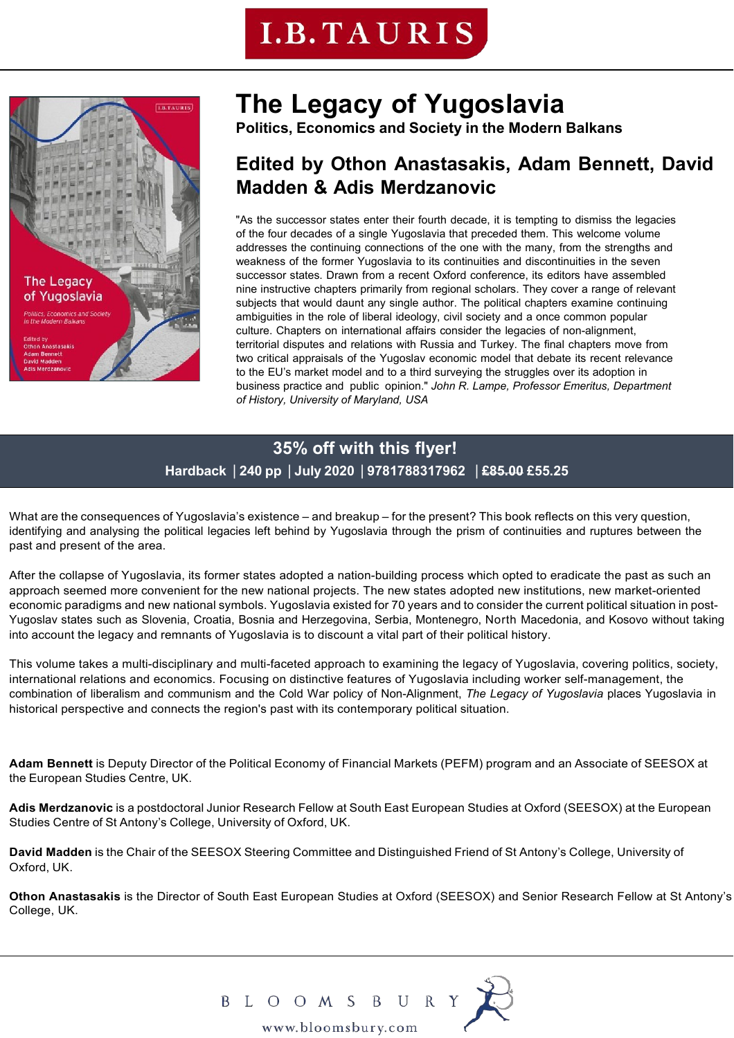## **I.B. TAURIS**



### **The Legacy of Yugoslavia**

**Politics, Economics and Society in the Modern Balkans**

### **Edited by Othon Anastasakis, Adam Bennett, David Madden & Adis Merdzanovic**

"As the successor states enter their fourth decade, it is tempting to dismiss the legacies of the four decades of a single Yugoslavia that preceded them. This welcome volume addresses the continuing connections of the one with the many, from the strengths and weakness of the former Yugoslavia to its continuities and discontinuities in the seven successor states. Drawn from a recent Oxford conference, its editors have assembled nine instructive chapters primarily from regional scholars. They cover a range of relevant subjects that would daunt any single author. The political chapters examine continuing ambiguities in the role of liberal ideology, civil society and a once common popular culture. Chapters on international affairs consider the legacies of non-alignment, territorial disputes and relations with Russia and Turkey. The final chapters move from two critical appraisals of the Yugoslav economic model that debate its recent relevance to the EU's market model and to a third surveying the struggles over its adoption in business practice and public opinion." *John R. Lampe, Professor Emeritus, Department of History, University of Maryland, USA*

### **35% off with this flyer! Hardback** | **240 pp** | **July 2020** | **9781788317962** | **£85.00 £55.25**

What are the consequences of Yugoslavia's existence – and breakup – for the present? This book reflects on this very question, identifying and analysing the political legacies left behind by Yugoslavia through the prism of continuities and ruptures between the past and present of the area.

After the collapse of Yugoslavia, its former states adopted a nation-building process which opted to eradicate the past as such an approach seemed more convenient for the new national projects. The new states adopted new institutions, new market-oriented economic paradigms and new national symbols. Yugoslavia existed for 70 years and to consider the current political situation in post-Yugoslav states such as Slovenia, Croatia, Bosnia and Herzegovina, Serbia, Montenegro, North Macedonia, and Kosovo without taking into account the legacy and remnants of Yugoslavia is to discount a vital part of their political history.

This volume takes a multi-disciplinary and multi-faceted approach to examining the legacy of Yugoslavia, covering politics, society, international relations and economics. Focusing on distinctive features of Yugoslavia including worker self-management, the combination of liberalism and communism and the Cold War policy of Non-Alignment, *The Legacy of Yugoslavia* places Yugoslavia in historical perspective and connects the region's past with its contemporary political situation.

**Adam Bennett** is Deputy Director of the Political Economy of Financial Markets (PEFM) program and an Associate of SEESOX at the European Studies Centre, UK.

**Adis Merdzanovic** is a postdoctoral Junior Research Fellow at South East European Studies at Oxford (SEESOX) at the European Studies Centre of St Antony's College, University of Oxford, UK.

**David Madden** is the Chair of the SEESOX Steering Committee and Distinguished Friend of St Antony's College, University of Oxford, UK.

**Othon Anastasakis** is the Director of South East European Studies at Oxford (SEESOX) and Senior Research Fellow at St Antony's College, UK.



B L O O M S B U R Y<br>www.bloomsbury.com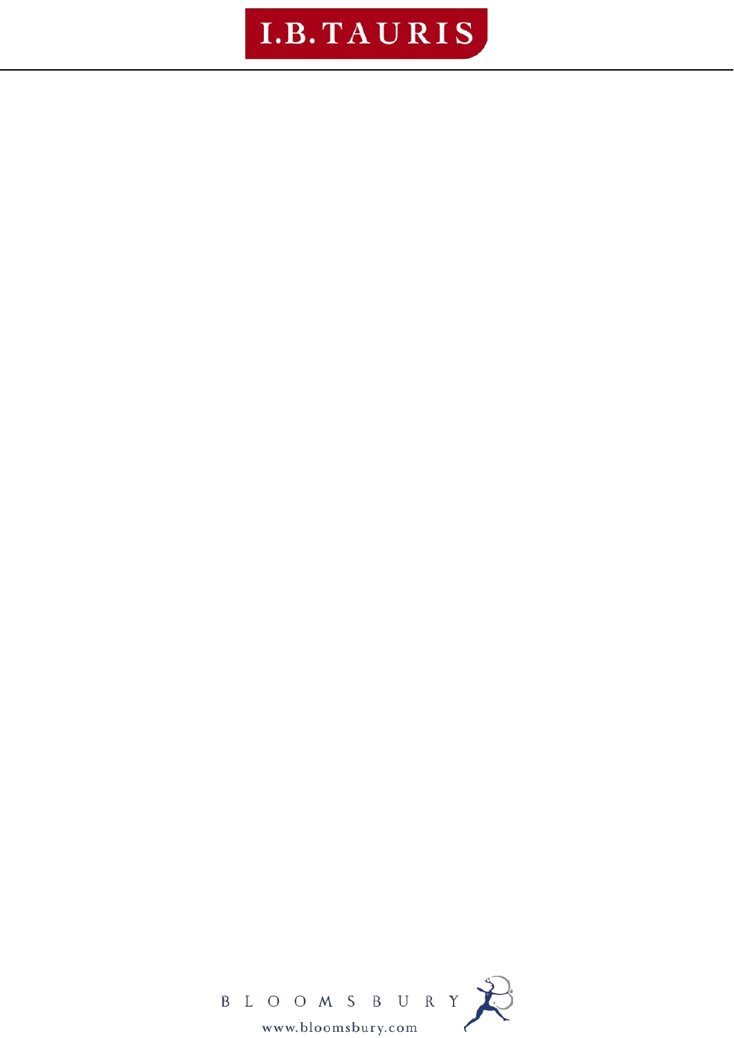## I.B. TAURIS